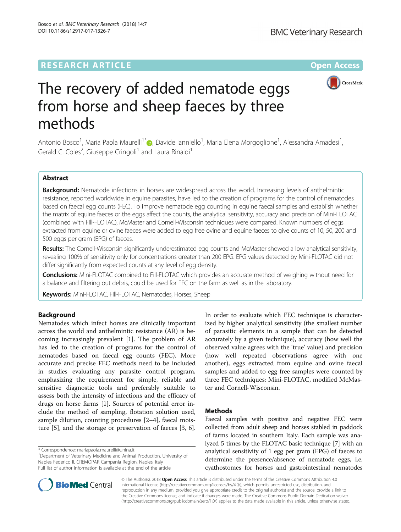DOI 10.1186/s12917-017-1326-7

Bosco et al. BMC Veterinary Research (2018) 14:7



# The recovery of added nematode eggs from horse and sheep faeces by three methods

Antonio Bosco<sup>1</sup>, Maria Paola Maurelli<sup>1\*</sup> (@, Davide Ianniello<sup>1</sup>, Maria Elena Morgoglione<sup>1</sup>, Alessandra Amadesi<sup>1</sup> , Gerald C. Coles<sup>2</sup>, Giuseppe Cringoli<sup>1</sup> and Laura Rinaldi<sup>1</sup>

## Abstract

Background: Nematode infections in horses are widespread across the world. Increasing levels of anthelmintic resistance, reported worldwide in equine parasites, have led to the creation of programs for the control of nematodes based on faecal egg counts (FEC). To improve nematode egg counting in equine faecal samples and establish whether the matrix of equine faeces or the eggs affect the counts, the analytical sensitivity, accuracy and precision of Mini-FLOTAC (combined with Fill-FLOTAC), McMaster and Cornell-Wisconsin techniques were compared. Known numbers of eggs extracted from equine or ovine faeces were added to egg free ovine and equine faeces to give counts of 10, 50, 200 and 500 eggs per gram (EPG) of faeces.

Results: The Cornell-Wisconsin significantly underestimated egg counts and McMaster showed a low analytical sensitivity, revealing 100% of sensitivity only for concentrations greater than 200 EPG. EPG values detected by Mini-FLOTAC did not differ significantly from expected counts at any level of egg density.

Conclusions: Mini-FLOTAC combined to Fill-FLOTAC which provides an accurate method of weighing without need for a balance and filtering out debris, could be used for FEC on the farm as well as in the laboratory.

Keywords: Mini-FLOTAC, Fill-FLOTAC, Nematodes, Horses, Sheep

## Background

Nematodes which infect horses are clinically important across the world and anthelmintic resistance (AR) is becoming increasingly prevalent [\[1](#page-4-0)]. The problem of AR has led to the creation of programs for the control of nematodes based on faecal egg counts (FEC). More accurate and precise FEC methods need to be included in studies evaluating any parasite control program, emphasizing the requirement for simple, reliable and sensitive diagnostic tools and preferably suitable to assess both the intensity of infections and the efficacy of drugs on horse farms [[1](#page-4-0)]. Sources of potential error include the method of sampling, flotation solution used, sample dilution, counting procedures [[2](#page-4-0)–[4](#page-4-0)], faecal moisture [[5\]](#page-4-0), and the storage or preservation of faeces [[3, 6](#page-4-0)].

\* Correspondence: [mariapaola.maurelli@unina.it](mailto:mariapaola.maurelli@unina.it) <sup>1</sup>

<sup>1</sup>Department of Veterinary Medicine and Animal Production, University of Naples Federico II, CREMOPAR Campania Region, Naples, Italy Full list of author information is available at the end of the article

In order to evaluate which FEC technique is characterized by higher analytical sensitivity (the smallest number of parasitic elements in a sample that can be detected accurately by a given technique), accuracy (how well the observed value agrees with the 'true' value) and precision (how well repeated observations agree with one another), eggs extracted from equine and ovine faecal samples and added to egg free samples were counted by three FEC techniques: Mini-FLOTAC, modified McMaster and Cornell-Wisconsin.

## **Methods**

Faecal samples with positive and negative FEC were collected from adult sheep and horses stabled in paddock of farms located in southern Italy. Each sample was analyzed 5 times by the FLOTAC basic technique [\[7](#page-4-0)] with an analytical sensitivity of 1 egg per gram (EPG) of faeces to determine the presence/absence of nematode eggs, i.e. cyathostomes for horses and gastrointestinal nematodes



© The Author(s). 2018 Open Access This article is distributed under the terms of the Creative Commons Attribution 4.0 International License [\(http://creativecommons.org/licenses/by/4.0/](http://creativecommons.org/licenses/by/4.0/)), which permits unrestricted use, distribution, and reproduction in any medium, provided you give appropriate credit to the original author(s) and the source, provide a link to the Creative Commons license, and indicate if changes were made. The Creative Commons Public Domain Dedication waiver [\(http://creativecommons.org/publicdomain/zero/1.0/](http://creativecommons.org/publicdomain/zero/1.0/)) applies to the data made available in this article, unless otherwise stated.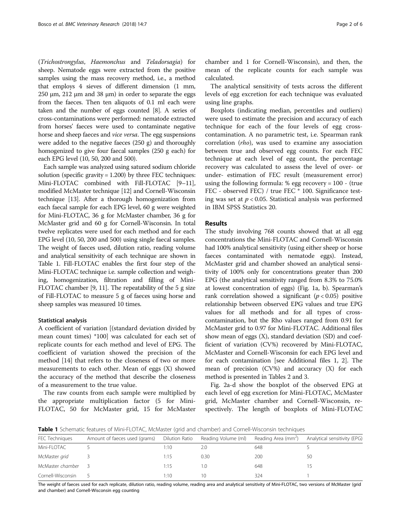(Trichostrongylus, Haemonchus and Teladorsagia) for sheep. Nematode eggs were extracted from the positive samples using the mass recovery method, i.e., a method that employs 4 sieves of different dimension (1 mm, 250 μm, 212 μm and 38 μm) in order to separate the eggs from the faeces. Then ten aliquots of 0.1 ml each were taken and the number of eggs counted [\[8\]](#page-4-0). A series of cross-contaminations were performed: nematode extracted from horses' faeces were used to contaminate negative horse and sheep faeces and vice versa. The egg suspensions were added to the negative faeces (250 g) and thoroughly homogenized to give four faecal samples (250 g each) for each EPG level (10, 50, 200 and 500).

Each sample was analyzed using satured sodium chloride solution (specific gravity  $= 1.200$ ) by three FEC techniques: Mini-FLOTAC combined with Fill-FLOTAC [\[9](#page-4-0)–[11](#page-4-0)], modified McMaster technique [\[12\]](#page-4-0) and Cornell-Wisconsin technique [\[13\]](#page-4-0). After a thorough homogenization from each faecal sample for each EPG level, 60 g were weighted for Mini-FLOTAC, 36 g for McMaster chamber, 36 g for McMaster grid and 60 g for Cornell-Wisconsin. In total twelve replicates were used for each method and for each EPG level (10, 50, 200 and 500) using single faecal samples. The weight of faeces used, dilution ratio, reading volume and analytical sensitivity of each technique are shown in Table 1. Fill-FLOTAC enables the first four step of the Mini-FLOTAC technique i.e. sample collection and weighing, homogenization, filtration and filling of Mini-FLOTAC chamber [\[9, 11](#page-4-0)]. The repeatability of the 5 g size of Fill-FLOTAC to measure 5 g of faeces using horse and sheep samples was measured 10 times.

#### Statistical analysis

A coefficient of variation [(standard deviation divided by mean count times) \*100] was calculated for each set of replicate counts for each method and level of EPG. The coefficient of variation showed the precision of the method [[14\]](#page-4-0) that refers to the closeness of two or more measurements to each other. Mean of eggs (X) showed the accuracy of the method that describe the closeness of a measurement to the true value.

The raw counts from each sample were multiplied by the appropriate multiplication factor (5 for Mini-FLOTAC, 50 for McMaster grid, 15 for McMaster chamber and 1 for Cornell-Wisconsin), and then, the mean of the replicate counts for each sample was calculated.

The analytical sensitivity of tests across the different levels of egg excretion for each technique was evaluated using line graphs.

Boxplots (indicating median, percentiles and outliers) were used to estimate the precision and accuracy of each technique for each of the four levels of egg crosscontamination. A no parametric test, i.e. Spearman rank correlation (rho), was used to examine any association between true and observed egg counts. For each FEC technique at each level of egg count, the percentage recovery was calculated to assess the level of over- or under- estimation of FEC result (measurement error) using the following formula: % egg recovery = 100 - (true FEC - observed FEC) / true FEC \* 100. Significance testing was set at  $p < 0.05$ . Statistical analysis was performed in IBM SPSS Statistics 20.

### Results

The study involving 768 counts showed that at all egg concentrations the Mini-FLOTAC and Cornell-Wisconsin had 100% analytical sensitivity (using either sheep or horse faeces contaminated with nematode eggs). Instead, McMaster grid and chamber showed an analytical sensitivity of 100% only for concentrations greater than 200 EPG (the analytical sensitivity ranged from 8.3% to 75.0% at lowest concentration of eggs) (Fig. [1a, b](#page-2-0)). Spearman's rank correlation showed a significant ( $p < 0.05$ ) positive relationship between observed EPG values and true EPG values for all methods and for all types of crosscontamination, but the Rho values ranged from 0.91 for McMaster grid to 0.97 for Mini-FLOTAC. Additional files show mean of eggs (X), standard deviation (SD) and coefficient of variation (CV%) recovered by Mini-FLOTAC, McMaster and Cornell-Wisconsin for each EPG level and for each contamination [see Additional files [1, 2](#page-4-0)]. The mean of precision (CV%) and accuracy (X) for each method is presented in Tables [2](#page-2-0) and [3.](#page-2-0)

Fig. [2a-d](#page-3-0) show the boxplot of the observed EPG at each level of egg excretion for Mini-FLOTAC, McMaster grid, McMaster chamber and Cornell-Wisconsin, respectively. The length of boxplots of Mini-FLOTAC

Table 1 Schematic features of Mini-FLOTAC, McMaster (grid and chamber) and Cornell-Wisconsin techniques

| FEC Techniques    | Amount of faeces used (grams) | <b>Dilution Ratio</b> | Reading Volume (ml) | Reading Area (mm <sup>2</sup> ) | Analytical sensitivity (EPG) |
|-------------------|-------------------------------|-----------------------|---------------------|---------------------------------|------------------------------|
| Mini-FLOTAC       |                               | 1:10                  |                     | 648                             |                              |
| McMaster grid     |                               | 1:15                  | 0.30                | 200                             | 50                           |
| McMaster chamber  |                               | 1:15                  |                     | 648                             |                              |
| Cornell-Wisconsin |                               | 1:10                  | 10                  | 324                             |                              |

The weight of faeces used for each replicate, dilution ratio, reading volume, reading area and analytical sensitivity of Mini-FLOTAC, two versions of McMaster (grid and chamber) and Cornell-Wisconsin egg counting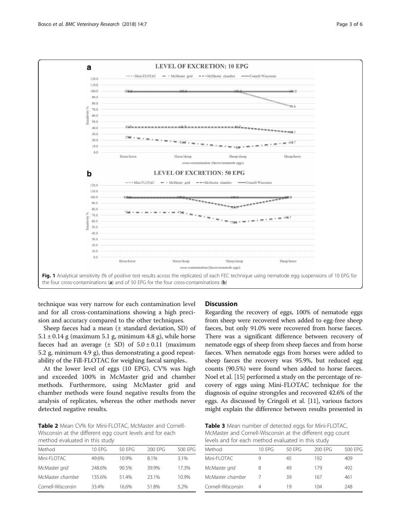<span id="page-2-0"></span>



50.0  $40.0$ 30.0  $20.0$  $10.0$  $0.0$ 

the four cross-contaminations (a) and of 50 EPG for the four cross-contaminations (b)

Horse/horse

Sheep faeces had a mean  $(\pm$  standard deviation, SD) of  $5.1 \pm 0.14$  g (maximum 5.1 g, minimum 4.8 g), while horse faeces had an average  $(\pm$  SD) of  $5.0 \pm 0.11$  (maximum 5.2 g, minimum 4.9 g), thus demonstrating a good repeatability of the Fill-FLOTAC for weighing faecal samples..

At the lower level of eggs (10 EPG), CV% was high and exceeded 100% in McMaster grid and chamber methods. Furthermore, using McMaster grid and chamber methods were found negative results from the analysis of replicates, whereas the other methods never detected negative results.

Table 2 Mean CV% for Mini-FLOTAC, McMaster and Cornell-Wisconsin at the different egg count levels and for each method evaluated in this study

| mentod evaluated in this staay |        |        |         |         |  |  |  |  |
|--------------------------------|--------|--------|---------|---------|--|--|--|--|
| Method                         | 10 FPG | 50 FPG | 200 FPG | 500 FPG |  |  |  |  |
| Mini-FI OTAC                   | 49.6%  | 10.9%  | 8.1%    | 3.1%    |  |  |  |  |
| McMaster grid                  | 248.6% | 90.5%  | 399%    | 173%    |  |  |  |  |
| McMaster chamber               | 135.6% | 514%   | 23.1%   | 10.9%   |  |  |  |  |
| Cornell-Wisconsin              | 334%   | 16.6%  | 51.8%   | 5 2%    |  |  |  |  |

## Discussion

Sheep/sheep

Fig. 1 Analytical sensitivity (% of positive test results across the replicates) of each FEC technique using nematode egg suspensions of 10 EPG for

cross-contamination (faeces/nematode eggs)

Horse/sheep

Regarding the recovery of eggs, 100% of nematode eggs from sheep were recovered when added to egg-free sheep faeces, but only 91.0% were recovered from horse faeces. There was a significant difference between recovery of nematode eggs of sheep from sheep faeces and from horse faeces. When nematode eggs from horses were added to sheep faeces the recovery was 95.9%, but reduced egg counts (90.5%) were found when added to horse faeces. Noel et al. [\[15\]](#page-4-0) performed a study on the percentage of recovery of eggs using Mini-FLOTAC technique for the diagnosis of equine strongyles and recovered 42.6% of the eggs. As discussed by Cringoli et al. [\[11](#page-4-0)], various factors might explain the difference between results presented in

Sheep/horse

Table 3 Mean number of detected eggs for Mini-FLOTAC, McMaster and Cornell-Wisconsin at the different egg count levels and for each method evaluated in this study

| Method            | 10 FPG | 50 FPG | 200 FPG | 500 EPG |  |  |  |  |
|-------------------|--------|--------|---------|---------|--|--|--|--|
| Mini-FLOTAC       |        | 45     | 192     | 409     |  |  |  |  |
| McMaster grid     | 8      | 49     | 179     | 492     |  |  |  |  |
| McMaster chamber  |        | 39     | 167     | 461     |  |  |  |  |
| Cornell-Wisconsin | 4      | 19     | 104     | 248     |  |  |  |  |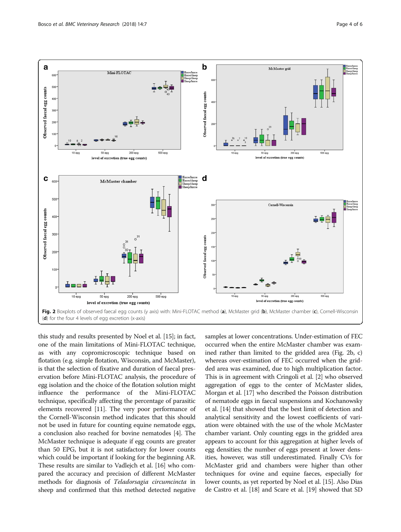<span id="page-3-0"></span>

this study and results presented by Noel et al. [[15](#page-4-0)]; in fact, one of the main limitations of Mini-FLOTAC technique, as with any copromicroscopic technique based on flotation (e.g. simple flotation, Wisconsin, and McMaster), is that the selection of fixative and duration of faecal preservation before Mini-FLOTAC analysis, the procedure of egg isolation and the choice of the flotation solution might influence the performance of the Mini-FLOTAC technique, specifically affecting the percentage of parasitic elements recovered [\[11](#page-4-0)]. The very poor performance of the Cornell-Wisconsin method indicates that this should not be used in future for counting equine nematode eggs, a conclusion also reached for bovine nematodes [[4\]](#page-4-0). The McMaster technique is adequate if egg counts are greater than 50 EPG, but it is not satisfactory for lower counts which could be important if looking for the beginning AR. These results are similar to Vadlejch et al. [\[16\]](#page-4-0) who compared the accuracy and precision of different McMaster methods for diagnosis of Teladorsagia circumcincta in sheep and confirmed that this method detected negative

samples at lower concentrations. Under-estimation of FEC occurred when the entire McMaster chamber was examined rather than limited to the gridded area (Fig. 2b, c) whereas over-estimation of FEC occurred when the gridded area was examined, due to high multiplication factor. This is in agreement with Cringoli et al. [[2\]](#page-4-0) who observed aggregation of eggs to the center of McMaster slides, Morgan et al. [\[17\]](#page-4-0) who described the Poisson distribution of nematode eggs in faecal suspensions and Kochanowsky et al. [\[14\]](#page-4-0) that showed that the best limit of detection and analytical sensitivity and the lowest coefficients of variation were obtained with the use of the whole McMaster chamber variant. Only counting eggs in the gridded area appears to account for this aggregation at higher levels of egg densities; the number of eggs present at lower densities, however, was still underestimated. Finally CVs for McMaster grid and chambers were higher than other techniques for ovine and equine faeces, especially for lower counts, as yet reported by Noel et al. [[15](#page-4-0)]. Also Dias de Castro et al. [\[18\]](#page-4-0) and Scare et al. [\[19\]](#page-5-0) showed that SD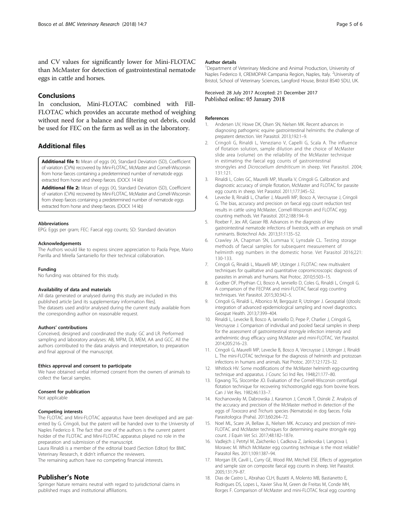<span id="page-4-0"></span>and CV values for significantly lower for Mini-FLOTAC than McMaster for detection of gastrointestinal nematode eggs in cattle and horses.

## Conclusions

In conclusion, Mini-FLOTAC combined with Fill-FLOTAC which provides an accurate method of weighing without need for a balance and filtering out debris, could be used for FEC on the farm as well as in the laboratory.

## Additional files

[Additional file 1:](dx.doi.org/10.1186/s12917-017-1326-7) Mean of eggs (X), Standard Deviation (SD), Coefficient of variation (CV%) recovered by Mini-FLOTAC, McMaster and Cornell-Wisconsin from horse faeces containing a predetermined number of nematode eggs extracted from horse and sheep faeces. (DOCX 14 kb)

[Additional file 2:](dx.doi.org/10.1186/s12917-017-1326-7) Mean of eggs (X), Standard Deviation (SD), Coefficient of variation (CV%) recovered by Mini-FLOTAC, McMaster and Cornell-Wisconsin from sheep faeces containing a predetermined number of nematode eggs extracted from horse and sheep faeces. (DOCX 14 kb)

#### Abbreviations

EPG: Eggs per gram; FEC: Faecal egg counts; SD: Standard deviation

#### Acknowledgements

The Authors would like to express sincere appreciation to Paola Pepe, Mario Parrilla and Mirella Santaniello for their technical collaboration.

#### Funding

No funding was obtained for this study.

#### Availability of data and materials

All data generated or analysed during this study are included in this published article [and its supplementary information files]. The datasets used and/or analysed during the current study available from the corresponding author on reasonable request.

#### Authors' contributions

Conceived, designed and coordinated the study: GC and LR. Performed sampling and laboratory analyses: AB, MPM, DI, MEM, AA and GCC. All the authors contributed to the data analysis and interpretation, to preparation and final approval of the manuscript.

#### Ethics approval and consent to participate

We have obtained verbal informed consent from the owners of animals to collect the faecal samples.

#### Consent for publication

Not applicable

#### Competing interests

The FLOTAC and Mini-FLOTAC apparatus have been developed and are patented by G. Cringoli, but the patent will be handed over to the University of Naples Federico II. The fact that one of the authors is the current patent holder of the FLOTAC and Mini-FLOTAC apparatus played no role in the preparation and submission of the manuscript.

Laura Rinaldi is a member of the editorial board (Section Editor) for BMC Veterinary Research, it didn't influence the reviewers.

The remaining authors have no competing financial interests.

#### Publisher's Note

Springer Nature remains neutral with regard to jurisdictional claims in published maps and institutional affiliations.

#### Author details

<sup>1</sup>Department of Veterinary Medicine and Animal Production, University of Naples Federico II, CREMOPAR Campania Region, Naples, Italy. <sup>2</sup>University of Bristol, School of Veterinary Sciences, Langford House, Bristol BS40 5DU, UK.

## Received: 28 July 2017 Accepted: 21 December 2017 Published online: 05 January 2018

#### References

- 1. Andersen UV, Howe DK, Olsen SN, Nielsen MK. Recent advances in diagnosing pathogenic equine gastrointestinal helminths: the challenge of prepatent detection. Vet Parasitol. 2013;192:1–9.
- 2. Cringoli G, Rinaldi L, Veneziano V, Capelli G, Scala A. The influence of flotation solution, sample dilution and the choice of McMaster slide area (volume) on the reliability of the McMaster technique in estimating the faecal egg counts of gastrointestinal strongyles and Dicrocoelium dendriticum in sheep. Vet Parasitol. 2004; 131:121.
- 3. Rinaldi L, Coles GC, Maurelli MP, Musella V, Cringoli G. Calibration and diagnostic accuracy of simple flotation, McMaster and FLOTAC for parasite egg counts in sheep. Vet Parasitol. 2011;177:345–52.
- 4. Levecke B, Rinaldi L, Charlier J, Maurelli MP, Bosco A, Vercruysse J, Cringoli G. The bias, accuracy and precision on faecal egg count reduction test results in cattle using McMaster, Cornell-Wisconsin and FLOTAC egg counting methods. Vet Parasitol. 2012;188:194–9.
- 5. Roeber F, Jex AR, Gasser RB. Advances in the diagnosis of key gastrointestinal nematode infections of livestock, with an emphasis on small ruminants. Biotechnol Adv. 2013;31:1135–52.
- 6. Crawley JA, Chapman SN, Lummaa V, Lynsdale CL. Testing storage methods of faecal samples for subsequent measurement of helminth egg numbers in the domestic horse. Vet Parasitol 2016;221: 130-133.
- 7. Cringoli G, Rinaldi L, Maurelli MP, Utzinger J. FLOTAC: new multivalent techniques for qualitative and quantitative copromicroscopic diagnosis of parasites in animals and humans. Nat Protoc. 2010;5:503–15.
- 8. Godber OF, Phythian CJ, Bosco A, Ianniello D, Coles G, Rinaldi L, Cringoli G. A comparison of the FECPAK and mini-FLOTAC faecal egg counting techniques. Vet Parasitol. 2015;30:342–5.
- Cringoli G, Rinaldi L, Albonico M, Bergquist R, Utzinger J. Geospatial (s)tools: integration of advanced epidemiological sampling and novel diagnostics. Geospat Health. 2013;7:399–404.
- 10. Rinaldi L, Levecke B, Bosco A, Ianniello D, Pepe P, Charlier J, Cringoli G, Vercruysse J. Comparison of individual and pooled faecal samples in sheep for the assessment of gastrointestinal strongyle infection intensity and anthelmintic drug efficacy using McMaster and mini-FLOTAC. Vet Parasitol. 2014;205:216–23.
- 11. Cringoli G, Maurelli MP, Levecke B, Bosco A, Vercruysse J, Utzinger J, Rinaldi L. The mini-FLOTAC technique for the diagnosis of helminth and protozoan infections in humans and animals. Nat Protoc. 2017;12:1723–32.
- 12. Whitlock HV. Some modifications of the McMaster helminth egg-counting technique and apparatus. J Counc Sci Ind Res. 1948;21:177–80.
- 13. Egwang TG, Slocombe JO. Evaluation of the Cornell-Wisconsin centrifugal flotation technique for recovering trichostrongylid eggs from bovine feces. Can J Vet Res. 1982;46:133–7.
- 14. Kochanowsky M, Dabrowska J, Karamon J, Cencek T, Osinski Z. Analysis of the accuracy and precision of the McMaster method in detection of the eggs of Toxocara and Trichuris species (Nematoda) in dog faeces. Folia Parasitologica (Praha). 2013;60:264–72.
- 15. Noel ML, Scare JA, Bellaw JL, Nielsen MK. Accuracy and precision of mini-FLOTAC and McMaster techniques for determining equine strongyle egg count. J Equin Vet Sci. 2017;48:182–187e.
- 16. Vadlejch J, Petrtyl M, Zaichenko I, Cadkova Z, Jankovska I, Langrova I, Moravec M. Which McMaster egg counting technique is the most reliable? Parasitol Res. 2011;109:1387–94.
- 17. Morgan ER, Cavill L, Curry GE, Wood RM, Mitchell ESE. Effects of aggregation and sample size on composite faecal egg counts in sheep. Vet Parasitol. 2005;131:79–87.
- 18. Dias de Castro L, Abrahao CLH, Buzatti A, Molento MB, Bastianetto E, Rodrigues DS, Lopes L, Xavier Silva M, Green de Freitas M, Conde MH, Borges F. Comparison of McMaster and mini-FLOTAC fecal egg counting